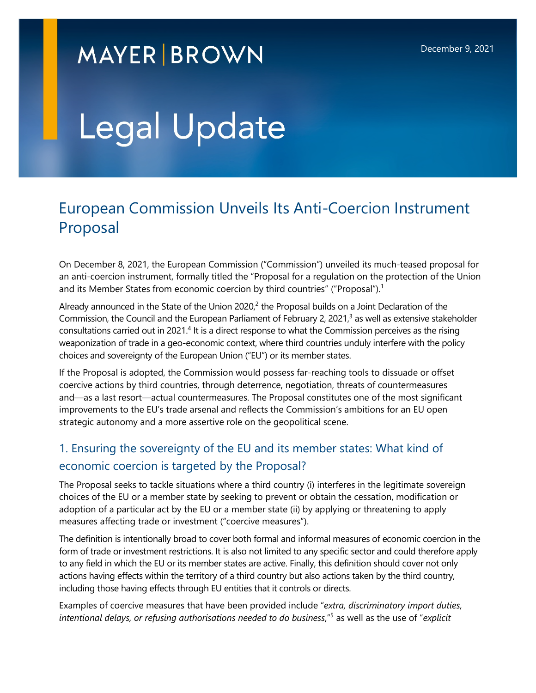# **MAYER BROWN**

# Legal Update

# European Commission Unveils Its Anti-Coercion Instrument Proposal

On December 8, 2021, the European Commission ("Commission") unveiled its much-teased proposal for an anti-coercion instrument, formally titled the "Proposal for a regulation on the protection of the Union and its Member States from economic coercion by third countries" ("Proposal").<sup>[1](#page-5-0)</sup>

Already announced in the State of the Union [2](#page-5-0)020, $2$  the Proposal builds on a Joint Declaration of the Commission, the Council and the European Parliament of February 2, 2021,<sup>[3](#page-5-0)</sup> as well as extensive stakeholder consultations carried out in 2021.<sup>[4](#page-5-0)</sup> It is a direct response to what the Commission perceives as the rising weaponization of trade in a geo-economic context, where third countries unduly interfere with the policy choices and sovereignty of the European Union ("EU") or its member states.

If the Proposal is adopted, the Commission would possess far-reaching tools to dissuade or offset coercive actions by third countries, through deterrence, negotiation, threats of countermeasures and—as a last resort—actual countermeasures. The Proposal constitutes one of the most significant improvements to the EU's trade arsenal and reflects the Commission's ambitions for an EU open strategic autonomy and a more assertive role on the geopolitical scene.

### 1. Ensuring the sovereignty of the EU and its member states: What kind of economic coercion is targeted by the Proposal?

The Proposal seeks to tackle situations where a third country (i) interferes in the legitimate sovereign choices of the EU or a member state by seeking to prevent or obtain the cessation, modification or adoption of a particular act by the EU or a member state (ii) by applying or threatening to apply measures affecting trade or investment ("coercive measures").

The definition is intentionally broad to cover both formal and informal measures of economic coercion in the form of trade or investment restrictions. It is also not limited to any specific sector and could therefore apply to any field in which the EU or its member states are active. Finally, this definition should cover not only actions having effects within the territory of a third country but also actions taken by the third country, including those having effects through EU entities that it controls or directs.

Examples of coercive measures that have been provided include "*extra, discriminatory import duties, intentional delays, or refusing authorisations needed to do business*,"[5](#page-6-0) as well as the use of "*explicit*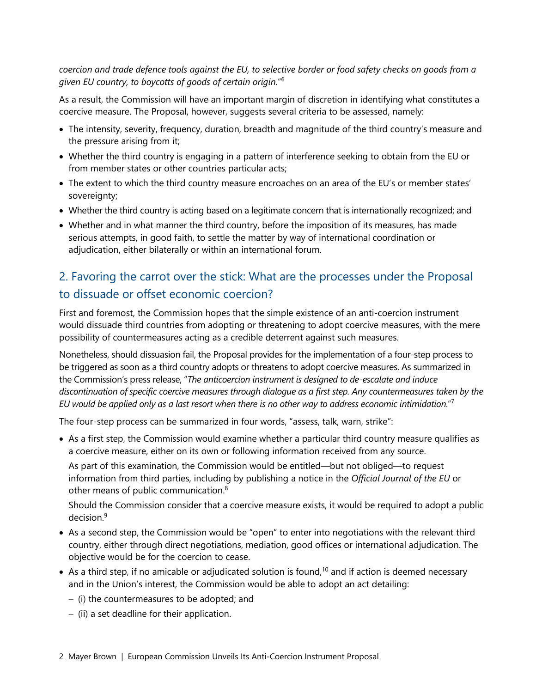*coercion and trade defence tools against the EU, to selective border or food safety checks on goods from a given EU country, to boycotts of goods of certain origin.*" [6](#page-6-1)

As a result, the Commission will have an important margin of discretion in identifying what constitutes a coercive measure. The Proposal, however, suggests several criteria to be assessed, namely:

- The intensity, severity, frequency, duration, breadth and magnitude of the third country's measure and the pressure arising from it;
- Whether the third country is engaging in a pattern of interference seeking to obtain from the EU or from member states or other countries particular acts;
- The extent to which the third country measure encroaches on an area of the EU's or member states' sovereignty;
- Whether the third country is acting based on a legitimate concern that is internationally recognized; and
- Whether and in what manner the third country, before the imposition of its measures, has made serious attempts, in good faith, to settle the matter by way of international coordination or adjudication, either bilaterally or within an international forum.

## 2. Favoring the carrot over the stick: What are the processes under the Proposal to dissuade or offset economic coercion?

First and foremost, the Commission hopes that the simple existence of an anti-coercion instrument would dissuade third countries from adopting or threatening to adopt coercive measures, with the mere possibility of countermeasures acting as a credible deterrent against such measures.

Nonetheless, should dissuasion fail, the Proposal provides for the implementation of a four-step process to be triggered as soon as a third country adopts or threatens to adopt coercive measures. As summarized in the Commission's press release, "*The anticoercion instrument is designed to de-escalate and induce discontinuation of specific coercive measures through dialogue as a first step. Any countermeasures taken by the EU would be applied only as a last resort when there is no other way to address economic intimidation*."[7](#page-6-2)

The four-step process can be summarized in four words, "assess, talk, warn, strike":

 As a first step, the Commission would examine whether a particular third country measure qualifies as a coercive measure, either on its own or following information received from any source.

As part of this examination, the Commission would be entitled—but not obliged—to request information from third parties, including by publishing a notice in the *Official Journal of the EU* or other means of public communication.[8](#page-6-3)

Should the Commission consider that a coercive measure exists, it would be required to adopt a public decision.[9](#page-6-4)

- As a second step, the Commission would be "open" to enter into negotiations with the relevant third country, either through direct negotiations, mediation, good offices or international adjudication. The objective would be for the coercion to cease.
- As a third step, if no amicable or adjudicated solution is found,<sup>[10](#page-6-5)</sup> and if action is deemed necessary and in the Union's interest, the Commission would be able to adopt an act detailing:
	- (i) the countermeasures to be adopted; and
	- $-$  (ii) a set deadline for their application.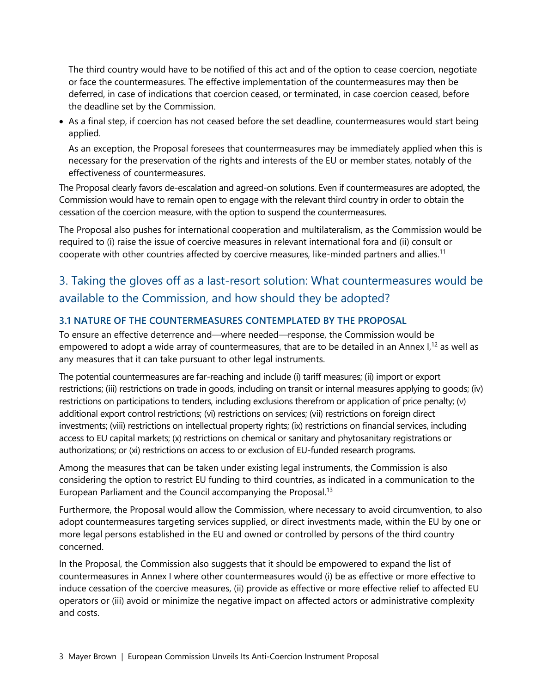The third country would have to be notified of this act and of the option to cease coercion, negotiate or face the countermeasures. The effective implementation of the countermeasures may then be deferred, in case of indications that coercion ceased, or terminated, in case coercion ceased, before the deadline set by the Commission.

• As a final step, if coercion has not ceased before the set deadline, countermeasures would start being applied.

As an exception, the Proposal foresees that countermeasures may be immediately applied when this is necessary for the preservation of the rights and interests of the EU or member states, notably of the effectiveness of countermeasures.

The Proposal clearly favors de-escalation and agreed-on solutions. Even if countermeasures are adopted, the Commission would have to remain open to engage with the relevant third country in order to obtain the cessation of the coercion measure, with the option to suspend the countermeasures.

The Proposal also pushes for international cooperation and multilateralism, as the Commission would be required to (i) raise the issue of coercive measures in relevant international fora and (ii) consult or cooperate with other countries affected by coercive measures, like-minded partners and allies.<sup>[11](#page-6-6)</sup>

# 3. Taking the gloves off as a last-resort solution: What countermeasures would be available to the Commission, and how should they be adopted?

#### **3.1 NATURE OF THE COUNTERMEASURES CONTEMPLATED BY THE PROPOSAL**

To ensure an effective deterrence and—where needed—response, the Commission would be empowered to adopt a wide array of countermeasures, that are to be detailed in an Annex  $I<sub>12</sub>$  $I<sub>12</sub>$  $I<sub>12</sub>$  as well as any measures that it can take pursuant to other legal instruments.

The potential countermeasures are far-reaching and include (i) tariff measures; (ii) import or export restrictions; (iii) restrictions on trade in goods, including on transit or internal measures applying to goods; (iv) restrictions on participations to tenders, including exclusions therefrom or application of price penalty; (v) additional export control restrictions; (vi) restrictions on services; (vii) restrictions on foreign direct investments; (viii) restrictions on intellectual property rights; (ix) restrictions on financial services, including access to EU capital markets; (x) restrictions on chemical or sanitary and phytosanitary registrations or authorizations; or (xi) restrictions on access to or exclusion of EU-funded research programs.

Among the measures that can be taken under existing legal instruments, the Commission is also considering the option to restrict EU funding to third countries, as indicated in a communication to the European Parliament and the Council accompanying the Proposal.<sup>[13](#page-6-8)</sup>

Furthermore, the Proposal would allow the Commission, where necessary to avoid circumvention, to also adopt countermeasures targeting services supplied, or direct investments made, within the EU by one or more legal persons established in the EU and owned or controlled by persons of the third country concerned.

In the Proposal, the Commission also suggests that it should be empowered to expand the list of countermeasures in Annex I where other countermeasures would (i) be as effective or more effective to induce cessation of the coercive measures, (ii) provide as effective or more effective relief to affected EU operators or (iii) avoid or minimize the negative impact on affected actors or administrative complexity and costs.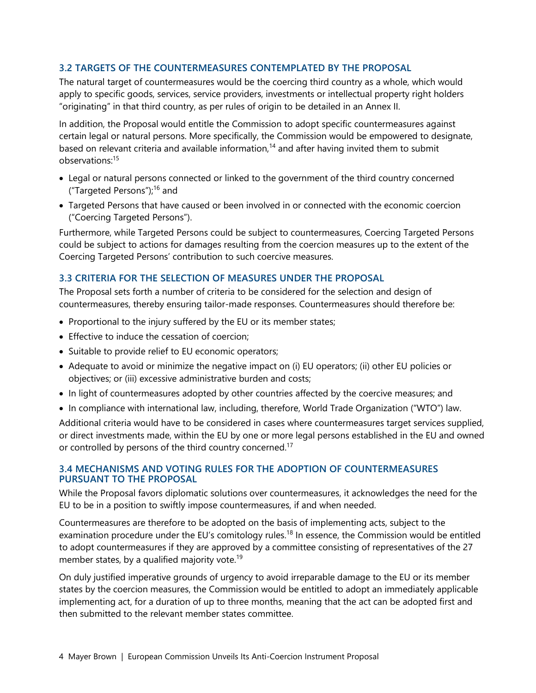#### **3.2 TARGETS OF THE COUNTERMEASURES CONTEMPLATED BY THE PROPOSAL**

The natural target of countermeasures would be the coercing third country as a whole, which would apply to specific goods, services, service providers, investments or intellectual property right holders "originating" in that third country, as per rules of origin to be detailed in an Annex II.

In addition, the Proposal would entitle the Commission to adopt specific countermeasures against certain legal or natural persons. More specifically, the Commission would be empowered to designate, based on relevant criteria and available information,<sup>[14](#page-6-9)</sup> and after having invited them to submit observations:[15](#page-6-10)

- Legal or natural persons connected or linked to the government of the third country concerned ("Targeted Persons");[16](#page-6-11) and
- Targeted Persons that have caused or been involved in or connected with the economic coercion ("Coercing Targeted Persons").

Furthermore, while Targeted Persons could be subject to countermeasures, Coercing Targeted Persons could be subject to actions for damages resulting from the coercion measures up to the extent of the Coercing Targeted Persons' contribution to such coercive measures.

#### **3.3 CRITERIA FOR THE SELECTION OF MEASURES UNDER THE PROPOSAL**

The Proposal sets forth a number of criteria to be considered for the selection and design of countermeasures, thereby ensuring tailor-made responses. Countermeasures should therefore be:

- Proportional to the injury suffered by the EU or its member states;
- Effective to induce the cessation of coercion;
- Suitable to provide relief to EU economic operators;
- Adequate to avoid or minimize the negative impact on (i) EU operators; (ii) other EU policies or objectives; or (iii) excessive administrative burden and costs;
- In light of countermeasures adopted by other countries affected by the coercive measures; and
- In compliance with international law, including, therefore, World Trade Organization ("WTO") law.

Additional criteria would have to be considered in cases where countermeasures target services supplied, or direct investments made, within the EU by one or more legal persons established in the EU and owned or controlled by persons of the third country concerned.<sup>[17](#page-6-12)</sup>

#### **3.4 MECHANISMS AND VOTING RULES FOR THE ADOPTION OF COUNTERMEASURES PURSUANT TO THE PROPOSAL**

While the Proposal favors diplomatic solutions over countermeasures, it acknowledges the need for the EU to be in a position to swiftly impose countermeasures, if and when needed.

Countermeasures are therefore to be adopted on the basis of implementing acts, subject to the examination procedure under the EU's comitology rules.<sup>[18](#page-6-13)</sup> In essence, the Commission would be entitled to adopt countermeasures if they are approved by a committee consisting of representatives of the 27 member states, by a qualified majority vote.<sup>[19](#page-6-14)</sup>

On duly justified imperative grounds of urgency to avoid irreparable damage to the EU or its member states by the coercion measures, the Commission would be entitled to adopt an immediately applicable implementing act, for a duration of up to three months, meaning that the act can be adopted first and then submitted to the relevant member states committee.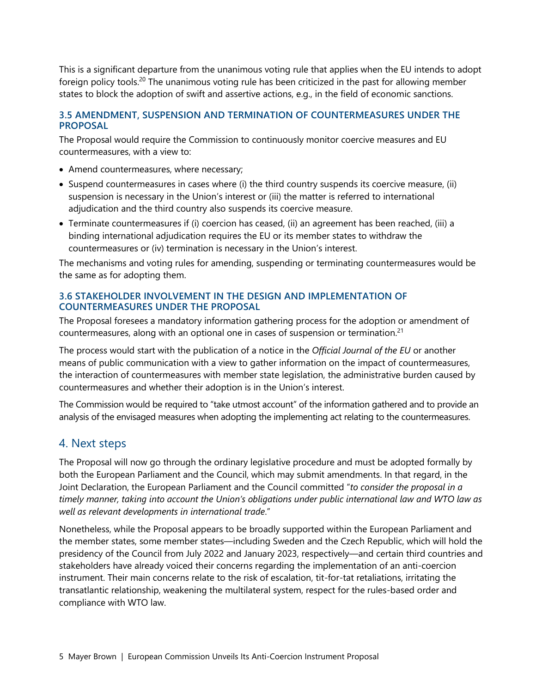This is a significant departure from the unanimous voting rule that applies when the EU intends to adopt foreign policy tools.<sup>[20](#page-6-15)</sup> The unanimous voting rule has been criticized in the past for allowing member states to block the adoption of swift and assertive actions, e.g., in the field of economic sanctions.

#### **3.5 AMENDMENT, SUSPENSION AND TERMINATION OF COUNTERMEASURES UNDER THE PROPOSAL**

The Proposal would require the Commission to continuously monitor coercive measures and EU countermeasures, with a view to:

- Amend countermeasures, where necessary;
- Suspend countermeasures in cases where (i) the third country suspends its coercive measure, (ii) suspension is necessary in the Union's interest or (iii) the matter is referred to international adjudication and the third country also suspends its coercive measure.
- Terminate countermeasures if (i) coercion has ceased, (ii) an agreement has been reached, (iii) a binding international adjudication requires the EU or its member states to withdraw the countermeasures or (iv) termination is necessary in the Union's interest.

The mechanisms and voting rules for amending, suspending or terminating countermeasures would be the same as for adopting them.

#### **3.6 STAKEHOLDER INVOLVEMENT IN THE DESIGN AND IMPLEMENTATION OF COUNTERMEASURES UNDER THE PROPOSAL**

The Proposal foresees a mandatory information gathering process for the adoption or amendment of countermeasures, along with an optional one in cases of suspension or termination.<sup>[21](#page-6-16)</sup>

The process would start with the publication of a notice in the *Official Journal of the EU* or another means of public communication with a view to gather information on the impact of countermeasures, the interaction of countermeasures with member state legislation, the administrative burden caused by countermeasures and whether their adoption is in the Union's interest.

The Commission would be required to "take utmost account" of the information gathered and to provide an analysis of the envisaged measures when adopting the implementing act relating to the countermeasures.

#### 4. Next steps

The Proposal will now go through the ordinary legislative procedure and must be adopted formally by both the European Parliament and the Council, which may submit amendments. In that regard, in the Joint Declaration, the European Parliament and the Council committed "*to consider the proposal in a timely manner, taking into account the Union's obligations under public international law and WTO law as well as relevant developments in international trade*."

Nonetheless, while the Proposal appears to be broadly supported within the European Parliament and the member states, some member states—including Sweden and the Czech Republic, which will hold the presidency of the Council from July 2022 and January 2023, respectively—and certain third countries and stakeholders have already voiced their concerns regarding the implementation of an anti-coercion instrument. Their main concerns relate to the risk of escalation, tit-for-tat retaliations, irritating the transatlantic relationship, weakening the multilateral system, respect for the rules-based order and compliance with WTO law.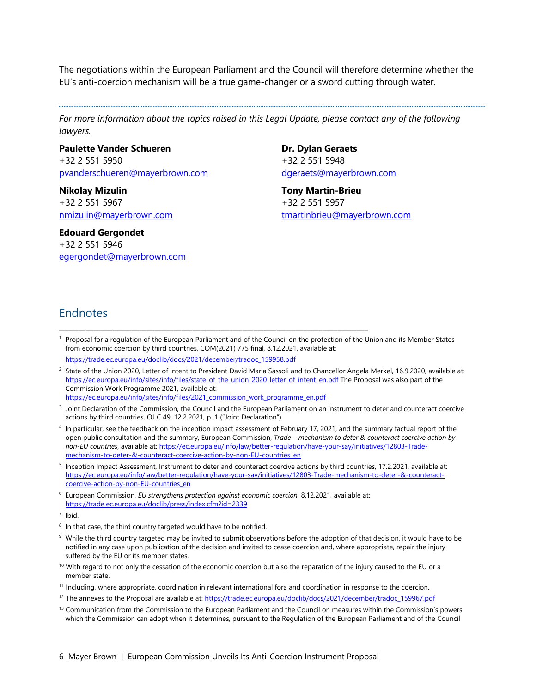<span id="page-5-0"></span>The negotiations within the European Parliament and the Council will therefore determine whether the EU's anti-coercion mechanism will be a true game-changer or a sword cutting through water.

For more information about the topics raised in this Legal Update, please contact any of the following *lawyers.* 

**Paulette Vander Schueren** [+32 2 551 5950](tel:+32%202%20551%205950)  [pvanderschueren@mayerbrown.com](mailto:pvanderschueren@mayerbrown.com)

**Nikolay Mizulin**  [+32 2 551 5967](tel:+32%202%20551%205967)  [nmizulin@mayerbrown.com](mailto:nmizulin@mayerbrown.com)

**Edouard Gergondet** [+32 2 551 5946](tel:+32%202%20551%205946)  [egergondet@mayerbrown.com](mailto:egergondet@mayerbrown.com) **Dr. Dylan Geraets** [+32 2 551 5948](tel:+32%202%20551%205948) [dgeraets@mayerbrown.com](mailto:dgeraets@mayerbrown.com)

**Tony Martin-Brieu** [+32 2 551 5957](tel:+32%202%20551%205957) [tmartinbrieu@mayerbrown.com](mailto:tmartinbrieu@mayerbrown.com)

#### Endnotes

1 Proposal for a regulation of the European Parliament and of the Council on the protection of the Union and its Member States from economic coercion by third countries, COM(2021) 775 final, 8.12.2021, available at:

https://trade.ec.europa.eu/doclib/docs/2021/december/tradoc\_159958.pdf

2 State of the Union 2020, Letter of Intent to President David Maria Sassoli and to Chancellor Angela Merkel, 16.9.2020, available at: https://ec.europa.eu/info/sites/info/files/state\_of\_the\_union\_2020\_letter\_of\_intent\_en.pdf The Proposal was also part of the Commission Work Programme 2021, available at: https://ec.europa.eu/info/sites/info/files/2021\_commission\_work\_programme\_en.pdf

3 Joint Declaration of the Commission, the Council and the European Parliament on an instrument to deter and counteract coercive

actions by third countries, OJ C 49, 12.2.2021, p. 1 ("Joint Declaration").

\_\_\_\_\_\_\_\_\_\_\_\_\_\_\_\_\_\_\_\_\_\_\_\_\_\_\_\_\_\_\_\_\_\_\_\_\_\_\_\_\_\_\_\_\_\_\_\_\_\_\_\_\_\_\_\_\_\_\_\_\_\_\_\_\_\_\_\_\_\_\_\_\_\_\_\_\_\_\_\_\_

- <sup>4</sup> In particular, see the feedback on the inception impact assessment of February 17, 2021, and the summary factual report of the open public consultation and the summary, European Commission, *Trade – mechanism to deter & counteract coercive action by non-EU countries*, available at: https://ec.europa.eu/info/law/better-regulation/have-your-say/initiatives/12803-Trademechanism-to-deter-&-counteract-coercive-action-by-non-EU-countries\_en
- <sup>5</sup> Inception Impact Assessment, Instrument to deter and counteract coercive actions by third countries, 17.2.2021, available at: https://ec.europa.eu/info/law/better-regulation/have-your-say/initiatives/12803-Trade-mechanism-to-deter-&-counteractcoercive-action-by-non-EU-countries\_en
- 6 European Commission, *EU strengthens protection against economic coercion*, 8.12.2021, available at: https://trade.ec.europa.eu/doclib/press/index.cfm?id=2339

 $7$  Ibid.

- <sup>8</sup> In that case, the third country targeted would have to be notified.
- $9\,$  While the third country targeted may be invited to submit observations before the adoption of that decision, it would have to be notified in any case upon publication of the decision and invited to cease coercion and, where appropriate, repair the injury suffered by the EU or its member states.
- $10$  With regard to not only the cessation of the economic coercion but also the reparation of the injury caused to the EU or a member state.
- <sup>11</sup> Including, where appropriate, coordination in relevant international fora and coordination in response to the coercion.
- <sup>12</sup> The annexes to the Proposal are available at: https://trade.ec.europa.eu/doclib/docs/2021/december/tradoc\_159967.pdf
- $<sup>13</sup>$  Communication from the Commission to the European Parliament and the Council on measures within the Commission's powers</sup> which the Commission can adopt when it determines, pursuant to the Regulation of the European Parliament and of the Council